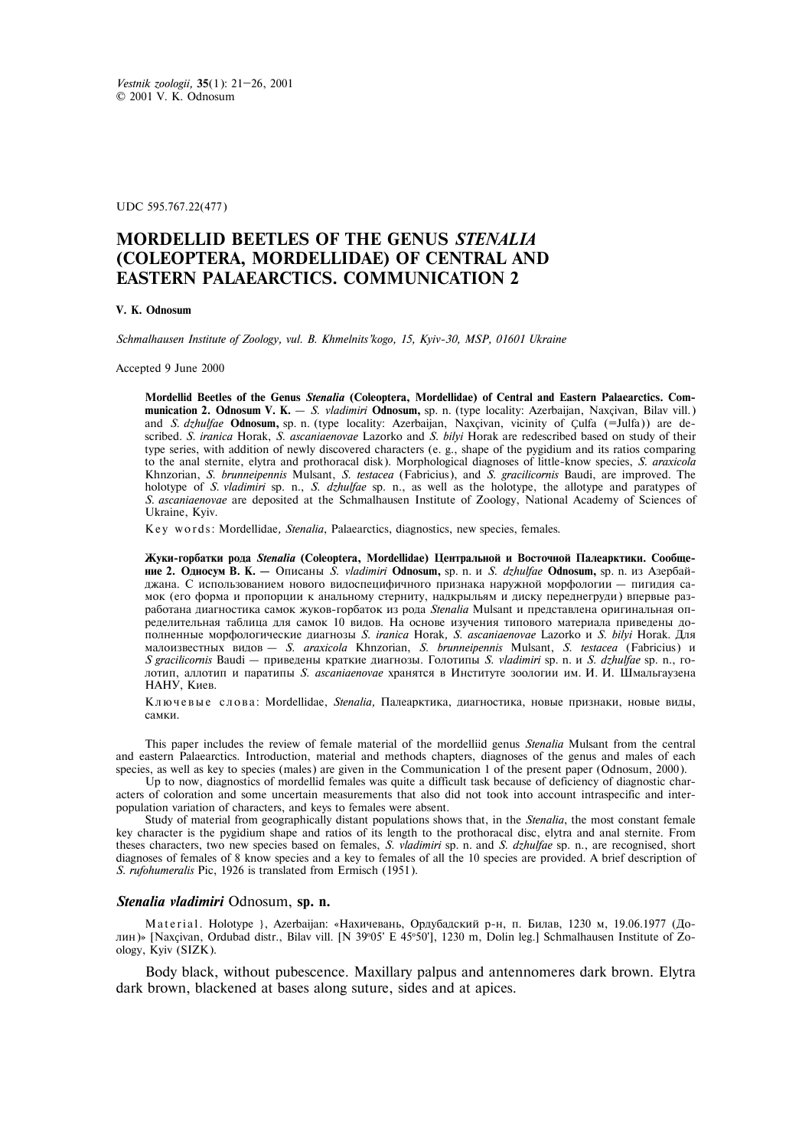UDC 595.767.22(477)

# **MORDELLID BEETLES OF THE GENUS** *STENALIA* **(COLEOPTERA, MORDELLIDAE) OF CENTRAL AND EASTERN PALAEARCTICS. COMMUNICATION 2**

## **V. K. Odnosum**

*Schmalhausen Institute of Zoology, vul. B. Khmelnits'kogo, 15, Kyiv-30, MSP, 01601 Ukraine* 

Accepted 9 June 2000

**Mordellid Beetles of the Genus** *Stenalia* **(Coleoptera, Mordellidae) of Central and Eastern Palaearctics. Communication 2. Odnosum V. K.** – *S. vladimiri* **Odnosum,** sp. n. (type locality: Azerbaijan, Naxçivan, Bilav vill.) and *S. dzhulfae* **Odnosum,** sp. n. (type locality: Azerbaijan, Naxçivan, vicinity of Çulfa (=Julfa)) are described. *S. iranica* Horak, *S. ascaniaenovae* Lazorko and *S. bilyi* Horak are redescribed based on study of their type series, with addition of newly discovered characters (e. g., shape of the pygidium and its ratios comparing to the anal sternite, elytra and prothoracal disk). Morphological diagnoses of little-know species, *S. araxicola* Khnzorian, *S. brunneipennis* Mulsant, *S. testacea* (Fabricius), and *S. gracilicornis* Baudi, are improved. The holotype of *S. vladimiri* sp. n., *S. dzhulfae* sp. n., as well as the holotype, the allotype and paratypes of *S. ascaniaenovae* are deposited at the Schmalhausen Institute of Zoology, National Academy of Sciences of Ukraine, Kyiv.

Key words: Mordellidae, Stenalia, Palaearctics, diagnostics, new species, females.

Жуки-горбатки рода Stenalia (Coleoptera, Mordellidae) Центральной и Восточной Палеарктики. Сообще**ние 2. Односум В. К. —** Описаны *S. vladimiri* **Odnosum,** sp. n. *и S. dzhulfae* **Odnosum**, sp. n. из Азербайджана. С использованием нового видоспецифичного признака наружной морфологии - пигидия самок (его форма и пропорции к анальному стерниту, надкрыльям и диску переднегруди) впервые разработана диагностика самок жуков-горбаток из рода Stenalia Mulsant и представлена оригинальная определительная таблица для самок 10 видов. На основе изучения типового материала приведены доîполненные морфологические диагнозы *S. iranica* Horak, S. ascaniaenovae Lazorko и S. bilyi Horak. Для ìàëîèçâåñòíûõ âèäîâ *– S. araxicola* Khnzorian, *S. brunneipennis* Mulsant, *S. testacea* (Fabricius) è *S gracilicornis* Baudi — приведены краткие диагнозы. Голотипы *S. vladimiri* sp. n. и *S. dzhulfae* sp. n., голотип, аллотип и паратипы *S. ascaniaenovae* хранятся в Институте зоологии им. И. И. Шмальгаузена НАНУ, Киев.

Ключевые слова: Mordellidae, *Stenalia*, Палеарктика, диагностика, новые признаки, новые виды, camku.

This paper includes the review of female material of the mordelliid genus *Stenalia* Mulsant from the central and eastern Palaearctics. Introduction, material and methods chapters, diagnoses of the genus and males of each species, as well as key to species (males) are given in the Communication 1 of the present paper (Odnosum, 2000).

Up to now, diagnostics of mordellid females was quite a difficult task because of deficiency of diagnostic characters of coloration and some uncertain measurements that also did not took into account intraspecific and interpopulation variation of characters, and keys to females were absent.

Study of material from geographically distant populations shows that, in the *Stenalia*, the most constant female key character is the pygidium shape and ratios of its length to the prothoracal disc, elytra and anal sternite. From theses characters, two new species based on females, *S. vladimiri* sp. n. and *S. dzhulfae* sp. n., are recognised, short diagnoses of females of 8 know species and a key to females of all the 10 species are provided. A brief description of *S. rufohumeralis* Pic, 1926 is translated from Ermisch (1951).

## *Stenalia vladimiri* Odnosum, **sp. n.**

M a t e ria l . Holotype }, Azerbaijan: «Нахичевань, Ордубадский р-н, п. Билав, 1230 м, 19.06.1977 (Долин)» [Naxçivan, Ordubad distr., Bilav vill. [N 39°05' E 45°50'], 1230 m, Dolin leg.] Schmalhausen Institute of Zoology, Kyiv (SIZK).

Body black, without pubescence. Maxillary palpus and antennomeres dark brown. Elytra dark brown, blackened at bases along suture, sides and at apices.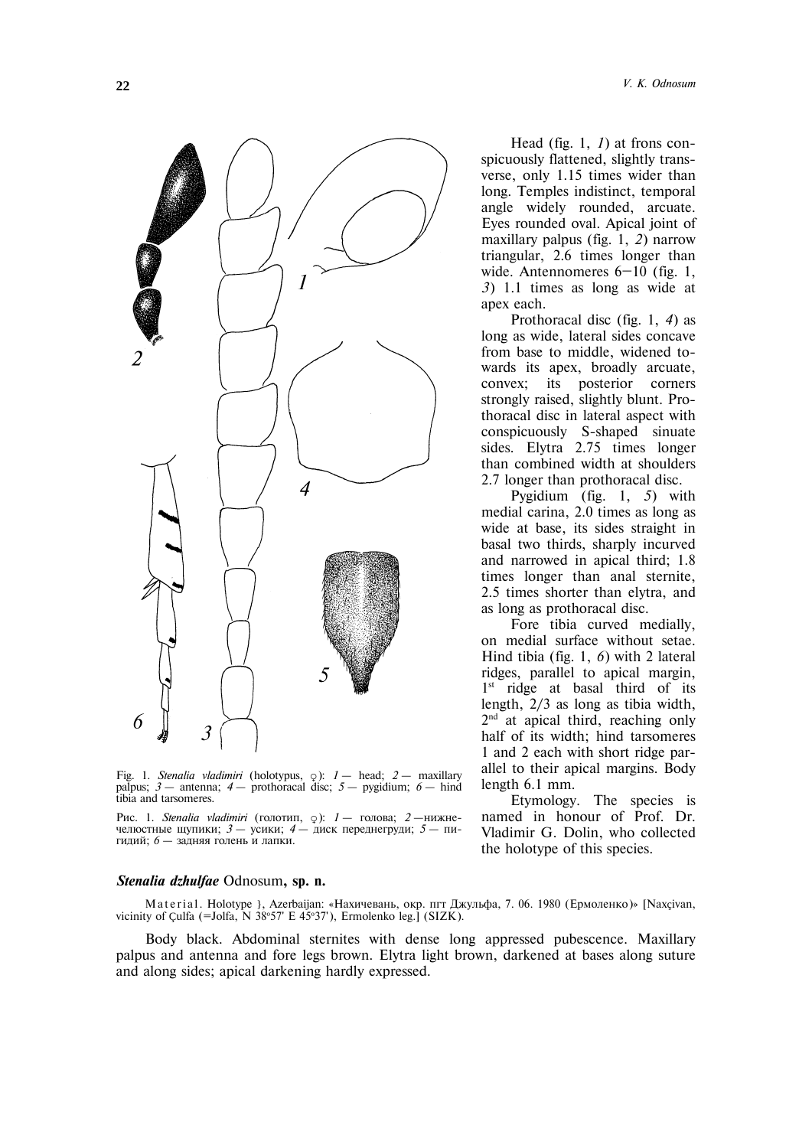

Fig. 1. *Stenalia vladimiri* (holotypus, }): *1* – head; *2* – maxillary palpus; *3* – antenna; *4* – prothoracal disc; *5* – pygidium; *6* – hind tibia and tarsomeres.

Рис. 1. *Stenalia vladimiri* (голотип,  $\varphi$ ): *1* – голова; *2* – нижне-челюстные щупики; *3* – усики; *4* – диск переднегруди; *5* – пичелюстные щупики; *3* – усики; *4* – гидий; *6* — задняя голень и лапки.

#### *Stenalia dzhulfae* Odnosum**, sp. n.**

M a t e r i a l . Holotype }, Azerbaijan: «Нахичевань, окр. пгт Джульфа, 7. 06. 1980 (Ермоленко)» [Naxcivan, vicinity of Çulfa (=Jolfa, N 38º57' E 45º37'), Ermolenko leg.] (SIZK).

Body black. Abdominal sternites with dense long appressed pubescence. Maxillary palpus and antenna and fore legs brown. Elytra light brown, darkened at bases along suture and along sides; apical darkening hardly expressed.

Head (fig. 1, *1*) at frons conspicuously flattened, slightly transverse, only 1.15 times wider than long. Temples indistinct, temporal angle widely rounded, arcuate. Eyes rounded oval. Apical joint of maxillary palpus (fig. 1, *2*) narrow triangular, 2.6 times longer than wide. Antennomeres 6-10 (fig. 1, *3*) 1.1 times as long as wide at apex each.

Prothoracal disc (fig. 1, *4*) as long as wide, lateral sides concave from base to middle, widened towards its apex, broadly arcuate, convex; its posterior corners strongly raised, slightly blunt. Prothoracal disc in lateral aspect with conspicuously S-shaped sinuate sides. Elytra 2.75 times longer than combined width at shoulders 2.7 longer than prothoracal disc.

Pygidium (fig. 1, *5*) with medial carina, 2.0 times as long as wide at base, its sides straight in basal two thirds, sharply incurved and narrowed in apical third; 1.8 times longer than anal sternite, 2.5 times shorter than elytra, and as long as prothoracal disc.

Fore tibia curved medially, on medial surface without setae. Hind tibia (fig. 1, *6*) with 2 lateral ridges, parallel to apical margin, 1<sup>st</sup> ridge at basal third of its length, 2/3 as long as tibia width, 2<sup>nd</sup> at apical third, reaching only half of its width; hind tarsomeres 1 and 2 each with short ridge parallel to their apical margins. Body length 6.1 mm.

Etymology. The species is named in honour of Prof. Dr. Vladimir G. Dolin, who collected the holotype of this species.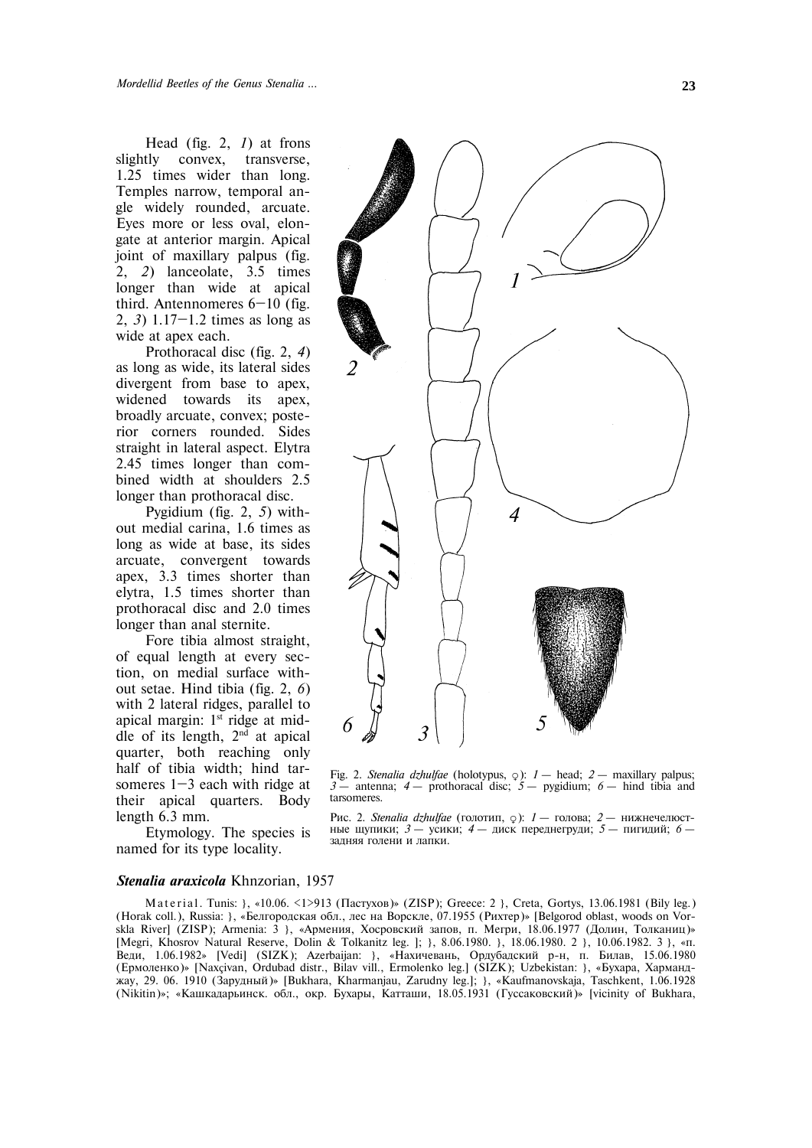Head (fig. 2, *1*) at frons slightly convex, transverse, 1.25 times wider than long. Temples narrow, temporal angle widely rounded, arcuate. Eyes more or less oval, elongate at anterior margin. Apical joint of maxillary palpus (fig. 2, *2*) lanceolate, 3.5 times longer than wide at apical third. Antennomeres 6—10 (fig. 2, *3*) 1.17—1.2 times as long as wide at apex each.

Prothoracal disc (fig. 2, *4*) as long as wide, its lateral sides divergent from base to apex, widened towards its apex, broadly arcuate, convex; posterior corners rounded. Sides straight in lateral aspect. Elytra 2.45 times longer than combined width at shoulders 2.5 longer than prothoracal disc.

Pygidium (fig. 2, *5*) without medial carina, 1.6 times as long as wide at base, its sides arcuate, convergent towards apex, 3.3 times shorter than elytra, 1.5 times shorter than prothoracal disc and 2.0 times longer than anal sternite.

Fore tibia almost straight, of equal length at every section, on medial surface without setae. Hind tibia (fig. 2, *6*) with 2 lateral ridges, parallel to apical margin:  $1<sup>st</sup>$  ridge at middle of its length,  $2<sup>nd</sup>$  at apical quarter, both reaching only half of tibia width; hind tarsomeres  $1-3$  each with ridge at their apical quarters. Body length 6.3 mm.

Etymology. The species is named for its type locality.



Fig. 2. *Stenalia dzhulfae* (holotypus, }): *1* – head; *2* – maxillary palpus; *3* – antenna; *4* – prothoracal disc; *5* – pygidium; *6* – hind tibia and tarsomeres.

Рис. 2. *Stenalia dzhulfae* (голотип, 9): *1* – голова; 2 – нижнечелюстные щупики;  $3 -$  усики;  $4 -$  диск переднегруди;  $5 -$  пигидий;  $6$ задняя голени и лапки.

# *Stenalia araxicola* Khnzorian, 1957

Material. Tunis: }, «10.06. <1>913 (Пастухов)» (ZISP); Greece: 2 }, Creta, Gortys, 13.06.1981 (Bily leg.) (Horak coll.), Russia: }, «Белгородская обл., лес на Ворскле, 07.1955 (Рихтер)» [Belgorod oblast, woods on Vorskla River] (ZISP); Armenia: 3 }, «Армения, Хосровский запов, п. Мегри, 18.06.1977 (Долин, Толканиц)» [Megri, Khosrov Natural Reserve, Dolin & Tolkanitz leg. ]; }, 8.06.1980. }, 18.06.1980. 2 }, 10.06.1982. 3 }, «ï. Веди, 1.06.1982» [Vedi] (SIZK); Azerbaijan: }, «Нахичевань, Ордубадский р-н, п. Билав, 15.06.1980 (Ермоленко)» [Naxçivan, Ordubad distr., Bilav vill., Ermolenko leg.] (SIZK); Uzbekistan: }, «Бухара, Хармандæàó, 29. 06. 1910 (Çàðóäíûé)» [Bukhara, Kharmanjau, Zarudny leg.]; }, «Kaufmanovskaja, Taschkent, 1.06.1928 (Nikitin)»; «Кашкадарьинск. обл., окр. Бухары, Катташи, 18.05.1931 (Гуссаковский)» [vicinity of Bukhara,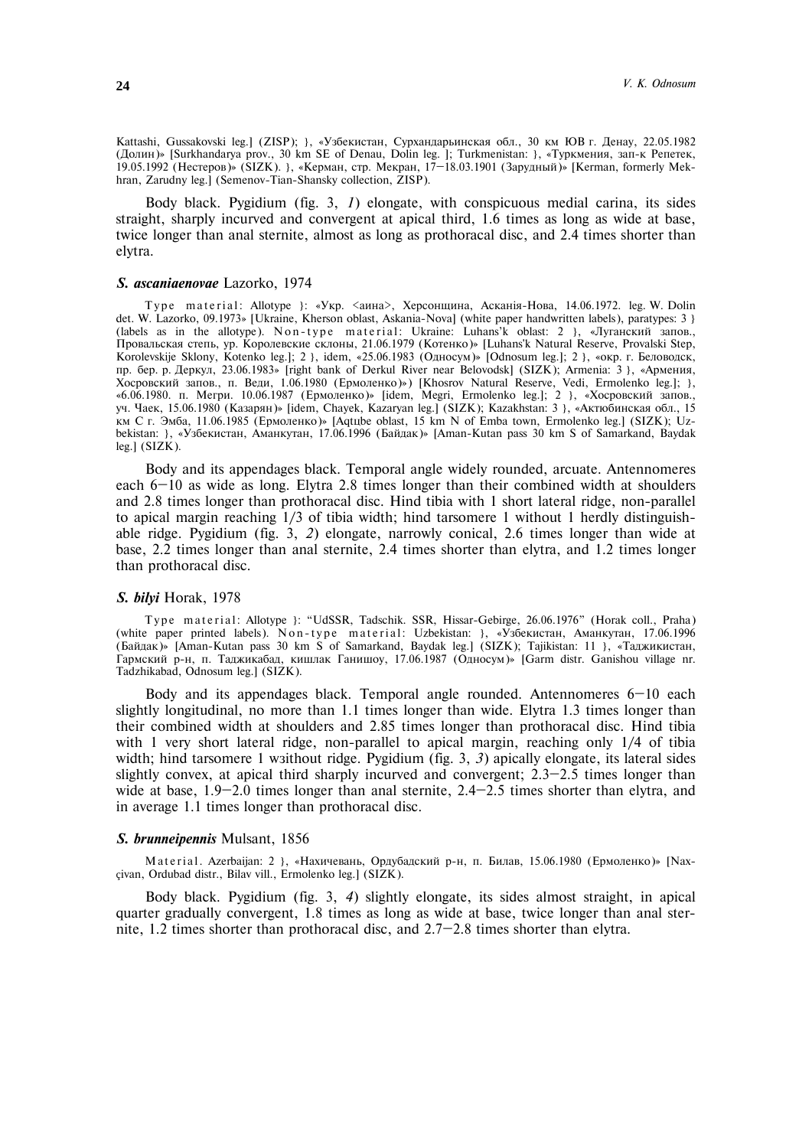Kattashi, Gussakovski leg.] (ZISP); }, «Узбекистан, Сурхандарьинская обл., 30 км ЮВ г. Денау, 22.05.1982 (Долин)» [Surkhandarya prov., 30 km SE of Denau, Dolin leg. ]; Turkmenistan: }, «Туркмения, зап-к Репетек, 19.05.1992 (Нестеров)» (SIZK). }, «Керман, стр. Мекран, 17–18.03.1901 (Зарудный)» [Kerman, formerly Mekhran, Zarudny leg.] (Semenov-Tian-Shansky collection, ZISP).

Body black. Pygidium (fig. 3, *1*) elongate, with conspicuous medial carina, its sides straight, sharply incurved and convergent at apical third, 1.6 times as long as wide at base, twice longer than anal sternite, almost as long as prothoracal disc, and 2.4 times shorter than elytra.

#### *S. ascaniaenovae* Lazorko, 1974

T y p e material: Allotype }: «Укр. <аина>, Херсонщина, Асканія-Нова, 14.06.1972. leg. W. Dolin det. W. Lazorko, 09.1973» [Ukraine, Kherson oblast, Askania-Nova] (white paper handwritten labels), paratypes: 3 } (labels as in the allotype). Non-type material: Ukraine: Luhans'k oblast: 2 }, «Луганский запов., Провальская степь, ур. Королевские склоны, 21.06.1979 (Котенко)» [Luhans'k Natural Reserve, Provalski Step, Korolevskije Sklony, Kotenko leg.]; 2 }, idem, «25.06.1983 (Односум)» [Odnosum leg.]; 2 }, «окр. г. Беловодск, пр. бер. р. Деркул, 23.06.1983» [right bank of Derkul River near Belovodsk] (SIZK); Armenia: 3 }, «Армения, Хосровский запов., п. Веди, 1.06.1980 (Ермоленко)») [Khosrov Natural Reserve, Vedi, Ermolenko leg.]; }, «6.06.1980. п. Мегри. 10.06.1987 (Ермоленко)» [idem, Megri, Ermolenko leg.]; 2 }, «Хосровский запов., уч. Чаек, 15.06.1980 (Казарян)» [idem, Chayek, Kazaryan leg.] (SIZK); Kazakhstan: 3 }, «Актюбинская обл., 15 км С г. Эмба, 11.06.1985 (Ермоленко)» [Aqtube oblast, 15 km N of Emba town, Ermolenko leg.] (SIZK); Uzbekistan: }, «Узбекистан, Аманкутан, 17.06.1996 (Байдак)» [Aman-Kutan pass 30 km S of Samarkand, Baydak leg.] (SIZK).

Body and its appendages black. Temporal angle widely rounded, arcuate. Antennomeres each 6—10 as wide as long. Elytra 2.8 times longer than their combined width at shoulders and 2.8 times longer than prothoracal disc. Hind tibia with 1 short lateral ridge, non-parallel to apical margin reaching 1/3 of tibia width; hind tarsomere 1 without 1 herdly distinguishable ridge. Pygidium (fig. 3, *2*) elongate, narrowly conical, 2.6 times longer than wide at base, 2.2 times longer than anal sternite, 2.4 times shorter than elytra, and 1.2 times longer than prothoracal disc.

#### *S. bilyi* Horak, 1978

Type material: Allotype }: "UdSSR, Tadschik. SSR, Hissar-Gebirge, 26.06.1976" (Horak coll., Praha) (white paper printed labels). N on-type material: Uzbekistan: }, «Узбекистан, Аманкутан, 17.06.1996 (Байдак)» [Aman-Kutan pass 30 km S of Samarkand, Baydak leg.] (SIZK); Tajikistan: 11 }, «Таджикистан,  $\Gamma$ армский р-н, п. Таджикабад, кишлак Ганишоу, 17.06.1987 (Односум)» [Garm distr. Ganishou village nr. Tadzhikabad, Odnosum leg.] (SIZK).

Body and its appendages black. Temporal angle rounded. Antennomeres  $6-10$  each slightly longitudinal, no more than 1.1 times longer than wide. Elytra 1.3 times longer than their combined width at shoulders and 2.85 times longer than prothoracal disc. Hind tibia with 1 very short lateral ridge, non-parallel to apical margin, reaching only 1/4 of tibia width; hind tarsomere 1 waithout ridge. Pygidium (fig. 3, 3) apically elongate, its lateral sides slightly convex, at apical third sharply incurved and convergent; 2.3—2.5 times longer than wide at base, 1.9-2.0 times longer than anal sternite, 2.4-2.5 times shorter than elytra, and in average 1.1 times longer than prothoracal disc.

#### *S. brunneipennis* Mulsant, 1856

M a t e r i a l. Azerbaijan: 2 }, «Нахичевань, Ордубадский р-н, п. Билав, 15.06.1980 (Ермоленко)» [Naxçivan, Ordubad distr., Bilav vill., Ermolenko leg.] (SIZK).

Body black. Pygidium (fig. 3, *4*) slightly elongate, its sides almost straight, in apical quarter gradually convergent, 1.8 times as long as wide at base, twice longer than anal sternite, 1.2 times shorter than prothoracal disc, and  $2.7-2.8$  times shorter than elytra.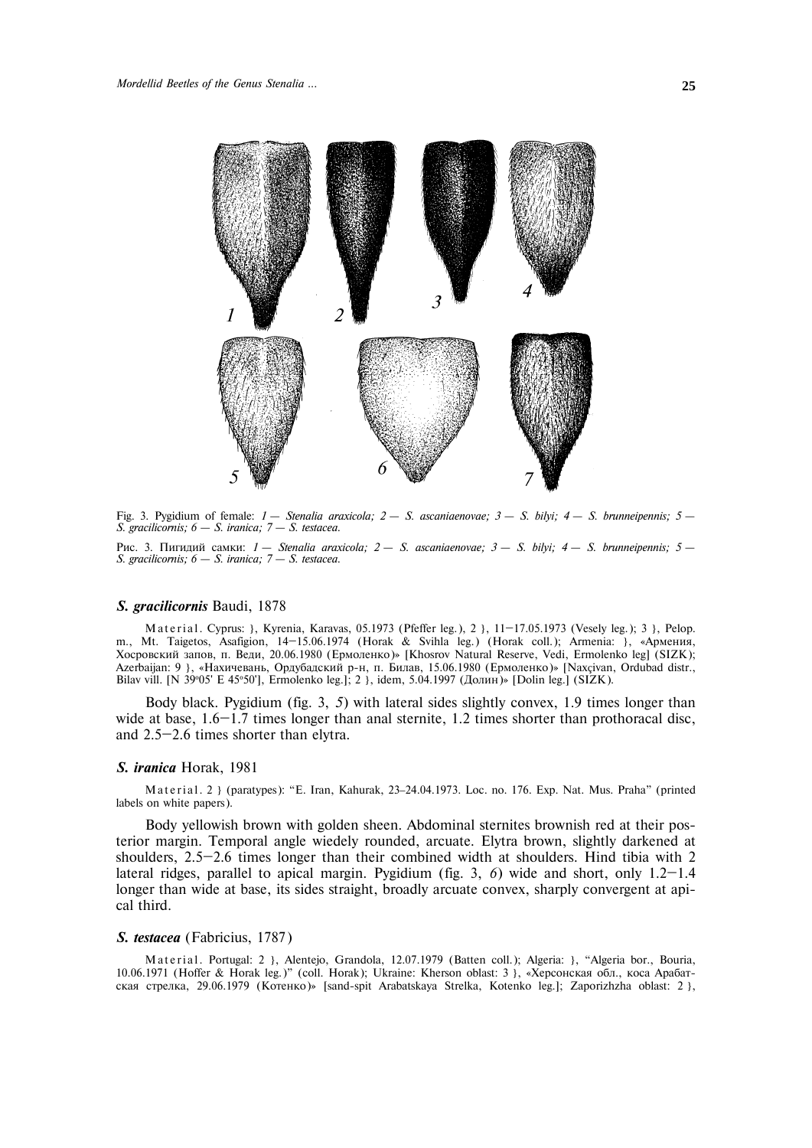

Fig. 3. Pygidium of female: *1 – Stenalia araxicola; 2 – S. ascaniaenovae; 3 – S. bilyi; 4 – S. brunneipennis; 5 – S. gracilicornis; 6 – S. iranica; 7 – S. testacea.*

Рис. 3. Пигидий самки: *1 — Stenalia araxicola; 2 — S. ascaniaenovae; 3 — S. bilyi; 4 — S. brunneipennis; 5 — S. gracilicornis; 6 – S. iranica; 7 – S. testacea.*

## *S. gracilicornis* Baudi, 1878

Material. Cyprus: }, Kyrenia, Karavas, 05.1973 (Pfeffer leg.), 2 }, 11-17.05.1973 (Vesely leg.); 3 }, Pelop. m., Mt. Taigetos, Asafigion, 14-15.06.1974 (Horak & Svihla leg.) (Horak coll.); Armenia: }, «Армения, Хосровский запов, п. Веди, 20.06.1980 (Ермоленко)» [Khosrov Natural Reserve, Vedi, Ermolenko leg] (SIZK); Azerbaijan: 9 }, «Нахичевань, Ордубадский р-н, п. Билав, 15.06.1980 (Ермоленко)» [Naxçivan, Ordubad distr., Bilav vill. [N 39°05' E 45°50'], Ermolenko leg.]; 2 }, idem, 5.04.1997 (Долин)» [Dolin leg.] (SIZK).

Body black. Pygidium (fig. 3, *5*) with lateral sides slightly convex, 1.9 times longer than wide at base, 1.6–1.7 times longer than anal sternite, 1.2 times shorter than prothoracal disc, and 2.5—2.6 times shorter than elytra.

#### *S. iranica* Horak, 1981

Material. 2 } (paratypes): "E. Iran, Kahurak, 23-24.04.1973. Loc. no. 176. Exp. Nat. Mus. Praha" (printed labels on white papers).

Body yellowish brown with golden sheen. Abdominal sternites brownish red at their posterior margin. Temporal angle wiedely rounded, arcuate. Elytra brown, slightly darkened at shoulders, 2.5—2.6 times longer than their combined width at shoulders. Hind tibia with 2 lateral ridges, parallel to apical margin. Pygidium (fig. 3, *6*) wide and short, only 1.2—1.4 longer than wide at base, its sides straight, broadly arcuate convex, sharply convergent at apical third.

# *S. testacea* (Fabricius, 1787)

Material. Portugal: 2 }, Alentejo, Grandola, 12.07.1979 (Batten coll.); Algeria: }, "Algeria bor., Bouria, 10.06.1971 (Hoffer & Horak leg.)" (coll. Horak); Ukraine: Kherson oblast: 3 ), «Херсонская обл., коса Арабатская стрелка, 29.06.1979 (Котенко)» [sand-spit Arabatskaya Strelka, Kotenko leg.]; Zaporizhzha oblast: 2 },